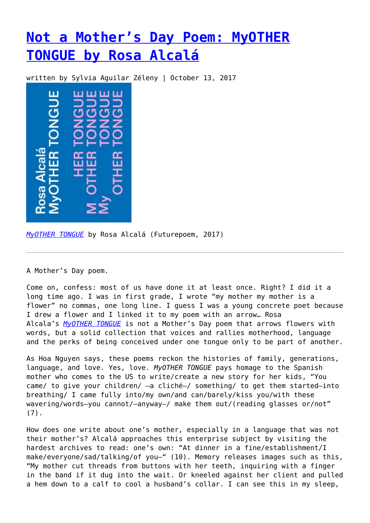## **[Not a Mother's Day Poem: MyOTHER](https://entropymag.org/not-a-mothers-day-poem-myother-tongue-by-rosa-alcala/) [TONGUE by Rosa Alcalá](https://entropymag.org/not-a-mothers-day-poem-myother-tongue-by-rosa-alcala/)**

written by Sylvia Aguilar Zéleny | October 13, 2017



*[MyOTHER TONGUE](http://www.futurepoem.com/books/myother_tongue)* by Rosa Alcalá (Futurepoem, 2017)

A Mother's Day poem.

Come on, confess: most of us have done it at least once. Right? I did it a long time ago. I was in first grade, I wrote "my mother my mother is a flower" no commas, one long line. I guess I was a young concrete poet because I drew a flower and I linked it to my poem with an arrow… Rosa Alcala's *[MyOTHER TONGUE](http://www.futurepoem.com/books/myother_tongue)* is not a Mother's Day poem that arrows flowers with words, but a solid collection that voices and rallies motherhood, language and the perks of being conceived under one tongue only to be part of another.

As Hoa Nguyen says, these poems reckon the histories of family, generations, language, and love. Yes, love. *MyOTHER TONGUE* pays homage to the Spanish mother who comes to the US to write/create a new story for her kids, "You came/ to give your children/ —a cliché—/ something/ to get them started—into breathing/ I came fully into/my own/and can/barely/kiss you/with these wavering/words—you cannot/—anyway—/ make them out/(reading glasses or/not" (7).

How does one write about one's mother, especially in a language that was not their mother's? Alcalá approaches this enterprise subject by visiting the hardest archives to read: one's own: "At dinner in a fine/establishment/I make/everyone/sad/talking/of you-" (10). Memory releases images such as this, "My mother cut threads from buttons with her teeth, inquiring with a finger in the band if it dug into the wait. Or kneeled against her client and pulled a hem down to a calf to cool a husband's collar. I can see this in my sleep,